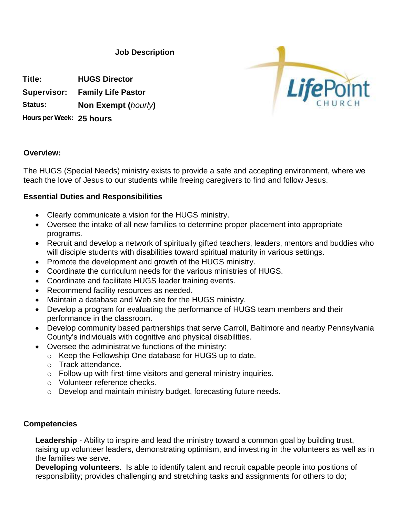**Job Description**

**Title: HUGS Director Supervisor: Family Life Pastor**

**Status: Non Exempt (***hourly***)**

**Hours per Week: 25 hours**



## **Overview:**

The HUGS (Special Needs) ministry exists to provide a safe and accepting environment, where we teach the love of Jesus to our students while freeing caregivers to find and follow Jesus.

## **Essential Duties and Responsibilities**

- Clearly communicate a vision for the HUGS ministry.
- Oversee the intake of all new families to determine proper placement into appropriate programs.
- Recruit and develop a network of spiritually gifted teachers, leaders, mentors and buddies who will disciple students with disabilities toward spiritual maturity in various settings.
- Promote the development and growth of the HUGS ministry.
- Coordinate the curriculum needs for the various ministries of HUGS.
- Coordinate and facilitate HUGS leader training events.
- Recommend facility resources as needed.
- Maintain a database and Web site for the HUGS ministry.
- Develop a program for evaluating the performance of HUGS team members and their performance in the classroom.
- Develop community based partnerships that serve Carroll, Baltimore and nearby Pennsylvania County's individuals with cognitive and physical disabilities.
- Oversee the administrative functions of the ministry:
	- o Keep the Fellowship One database for HUGS up to date.
	- o Track attendance.
	- o Follow-up with first-time visitors and general ministry inquiries.
	- o Volunteer reference checks.
	- o Develop and maintain ministry budget, forecasting future needs.

## **Competencies**

Leadership - Ability to inspire and lead the ministry toward a common goal by building trust, raising up volunteer leaders, demonstrating optimism, and investing in the volunteers as well as in the families we serve.

**Developing volunteers**. Is able to identify talent and recruit capable people into positions of responsibility; provides challenging and stretching tasks and assignments for others to do;